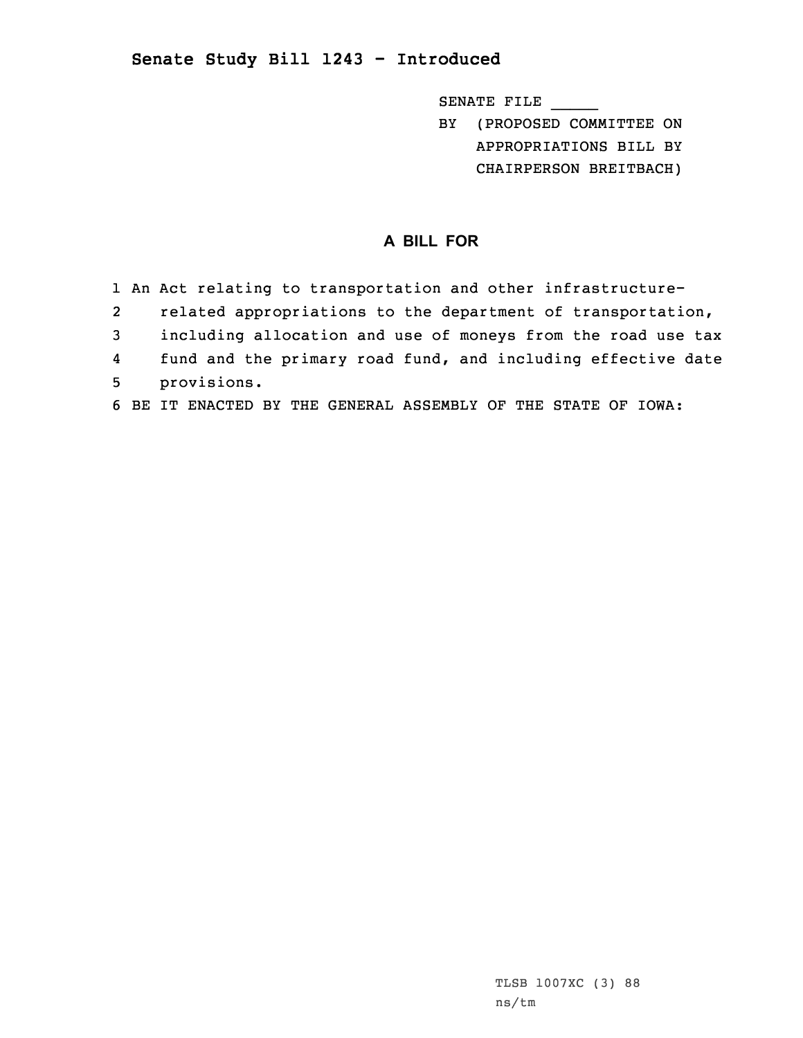## **Senate Study Bill 1243 - Introduced**

SENATE FILE \_\_\_\_\_

BY (PROPOSED COMMITTEE ON APPROPRIATIONS BILL BY CHAIRPERSON BREITBACH)

## **A BILL FOR**

- 1 An Act relating to transportation and other infrastructure-
- 2related appropriations to the department of transportation,
- 3 including allocation and use of moneys from the road use tax
- 4fund and the primary road fund, and including effective date
- 5 provisions.
- 6 BE IT ENACTED BY THE GENERAL ASSEMBLY OF THE STATE OF IOWA: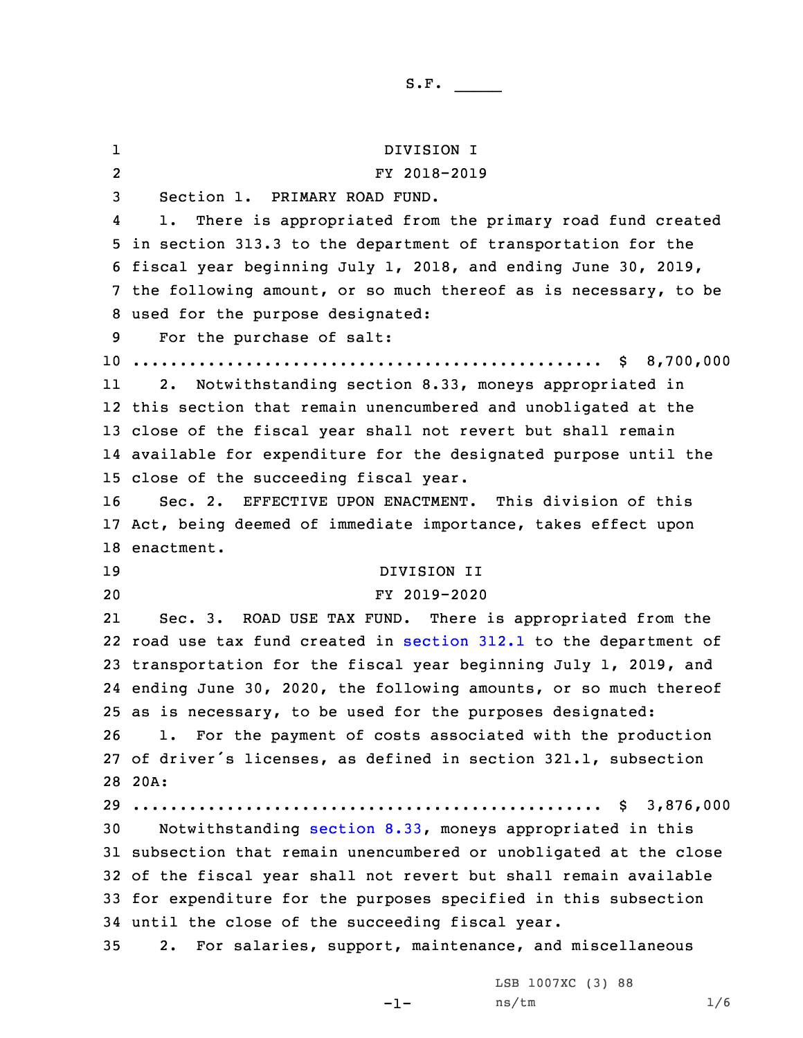1 DIVISION I 2 FY 2018-2019 Section 1. PRIMARY ROAD FUND. 4 1. There is appropriated from the primary road fund created in section 313.3 to the department of transportation for the fiscal year beginning July 1, 2018, and ending June 30, 2019, the following amount, or so much thereof as is necessary, to be used for the purpose designated: For the purchase of salt: .................................................. \$ 8,700,000 11 2. Notwithstanding section 8.33, moneys appropriated in this section that remain unencumbered and unobligated at the close of the fiscal year shall not revert but shall remain available for expenditure for the designated purpose until the close of the succeeding fiscal year. Sec. 2. EFFECTIVE UPON ENACTMENT. This division of this Act, being deemed of immediate importance, takes effect upon enactment. DIVISION II FY 2019-2020 21 Sec. 3. ROAD USE TAX FUND. There is appropriated from the road use tax fund created in [section](https://www.legis.iowa.gov/docs/code/2019/312.1.pdf) 312.1 to the department of transportation for the fiscal year beginning July 1, 2019, and ending June 30, 2020, the following amounts, or so much thereof as is necessary, to be used for the purposes designated: 1. For the payment of costs associated with the production of driver's licenses, as defined in section 321.1, subsection 28 20A: .................................................. \$ 3,876,000 Notwithstanding [section](https://www.legis.iowa.gov/docs/code/2019/8.33.pdf) 8.33, moneys appropriated in this subsection that remain unencumbered or unobligated at the close of the fiscal year shall not revert but shall remain available for expenditure for the purposes specified in this subsection until the close of the succeeding fiscal year. 2. For salaries, support, maintenance, and miscellaneous

-1-

S.F.  $\rule{1em}{0.15mm}$ 

LSB 1007XC (3) 88 ns/tm 1/6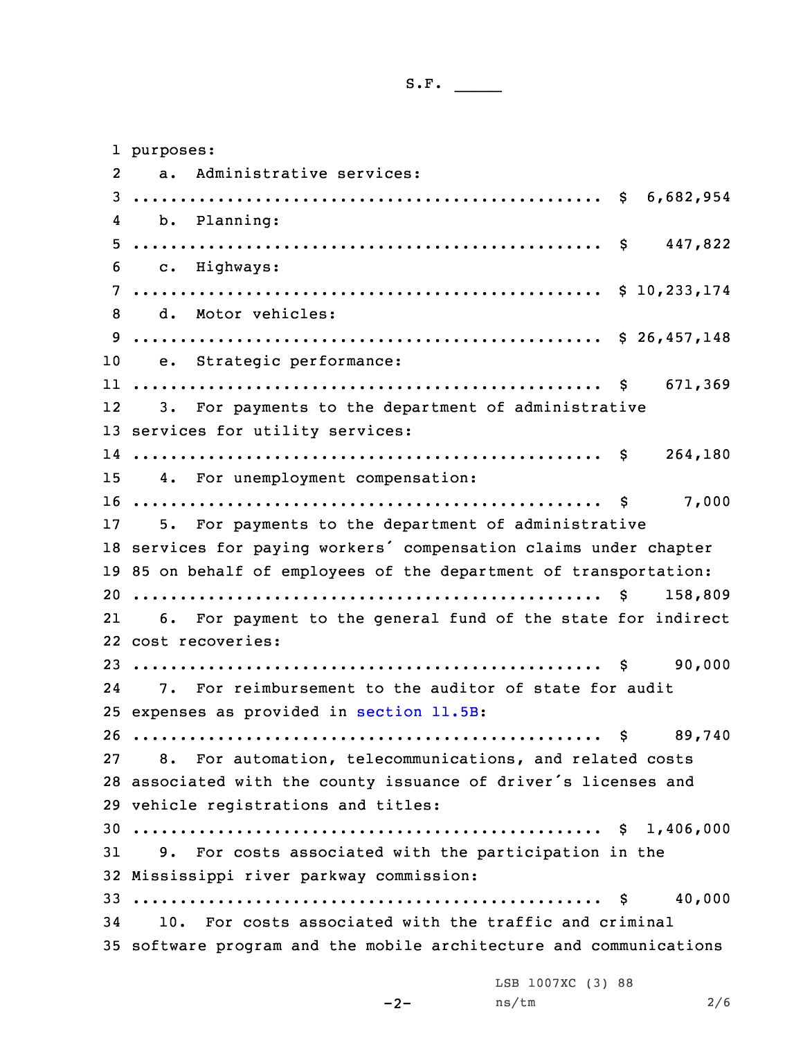S.F.  $\rule{1em}{0.15mm}$ 

|              | 1 purposes:                                                        |
|--------------|--------------------------------------------------------------------|
| $\mathbf{2}$ | a. Administrative services:                                        |
|              |                                                                    |
| 4            | b. Planning:                                                       |
|              |                                                                    |
| 6            | c. Highways:                                                       |
|              |                                                                    |
| 8            | d. Motor vehicles:                                                 |
|              |                                                                    |
| 10           | e. Strategic performance:                                          |
|              |                                                                    |
|              | 12 3. For payments to the department of administrative             |
|              | 13 services for utility services:                                  |
|              |                                                                    |
|              | 15 4. For unemployment compensation:                               |
|              |                                                                    |
|              | 17 5. For payments to the department of administrative             |
|              | 18 services for paying workers' compensation claims under chapter  |
|              | 19 85 on behalf of employees of the department of transportation:  |
|              | 158,809                                                            |
| 21           | 6. For payment to the general fund of the state for indirect       |
|              | 22 cost recoveries:                                                |
|              |                                                                    |
|              | 24 7. For reimbursement to the auditor of state for audit          |
|              | 25 expenses as provided in section 11.5B:                          |
|              |                                                                    |
|              | 27 8. For automation, telecommunications, and related costs        |
|              | 28 associated with the county issuance of driver's licenses and    |
|              | 29 vehicle registrations and titles:                               |
|              |                                                                    |
|              | 31 9. For costs associated with the participation in the           |
|              | 32 Mississippi river parkway commission:                           |
|              | 40,000                                                             |
|              | 34 10. For costs associated with the traffic and criminal          |
|              | 35 software program and the mobile architecture and communications |
|              | LSB 1007XC (3) 88                                                  |

ns/tm 2/6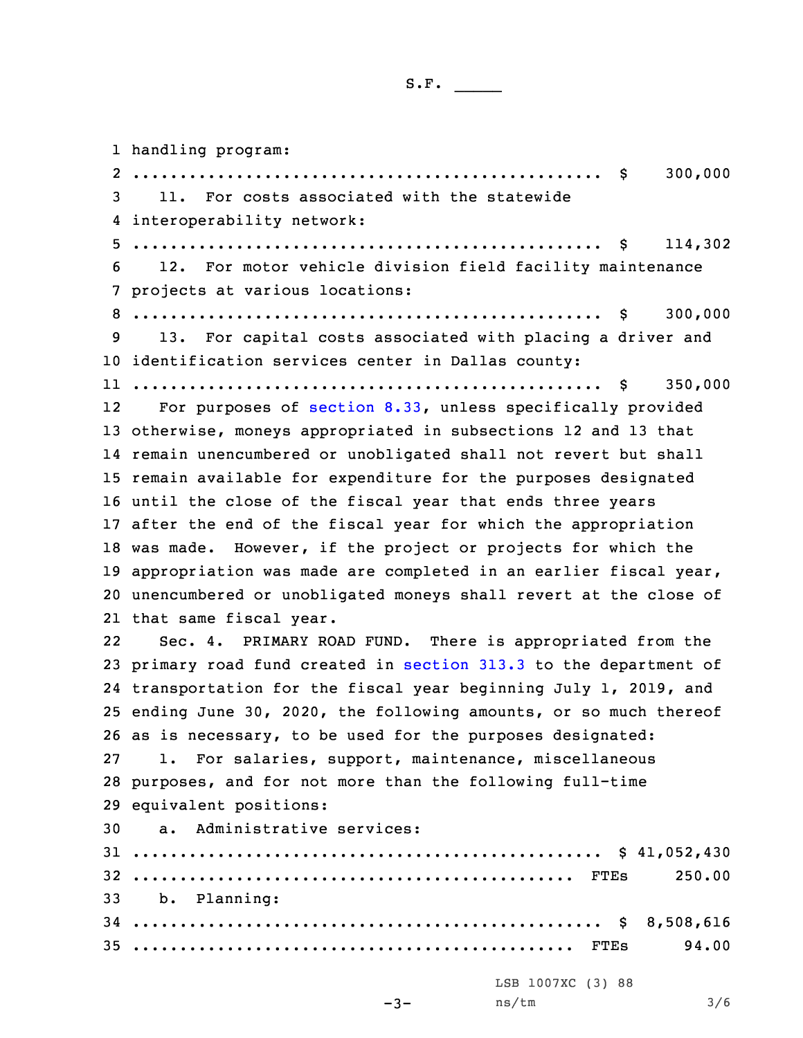| ، د ت |  |  |  |  |  |
|-------|--|--|--|--|--|
|       |  |  |  |  |  |

 handling program: .................................................. \$ 300,000 11. For costs associated with the statewide interoperability network: .................................................. \$ 114,302 12. For motor vehicle division field facility maintenance projects at various locations: .................................................. \$ 300,000 13. For capital costs associated with placing <sup>a</sup> driver and identification services center in Dallas county: .................................................. \$ 350,000 12 For purposes of [section](https://www.legis.iowa.gov/docs/code/2019/8.33.pdf) 8.33, unless specifically provided otherwise, moneys appropriated in subsections 12 and 13 that remain unencumbered or unobligated shall not revert but shall remain available for expenditure for the purposes designated until the close of the fiscal year that ends three years after the end of the fiscal year for which the appropriation was made. However, if the project or projects for which the appropriation was made are completed in an earlier fiscal year, unencumbered or unobligated moneys shall revert at the close of that same fiscal year. 22 Sec. 4. PRIMARY ROAD FUND. There is appropriated from the primary road fund created in [section](https://www.legis.iowa.gov/docs/code/2019/313.3.pdf) 313.3 to the department of transportation for the fiscal year beginning July 1, 2019, and ending June 30, 2020, the following amounts, or so much thereof as is necessary, to be used for the purposes designated: 1. For salaries, support, maintenance, miscellaneous purposes, and for not more than the following full-time equivalent positions: a. Administrative services: .................................................. \$ 41,052,430 ............................................... FTEs 250.00 b. Planning: .................................................. \$ 8,508,616 ............................................... FTEs 94.00 LSB 1007XC (3) 88 ns/tm 3/6

```
-3-
```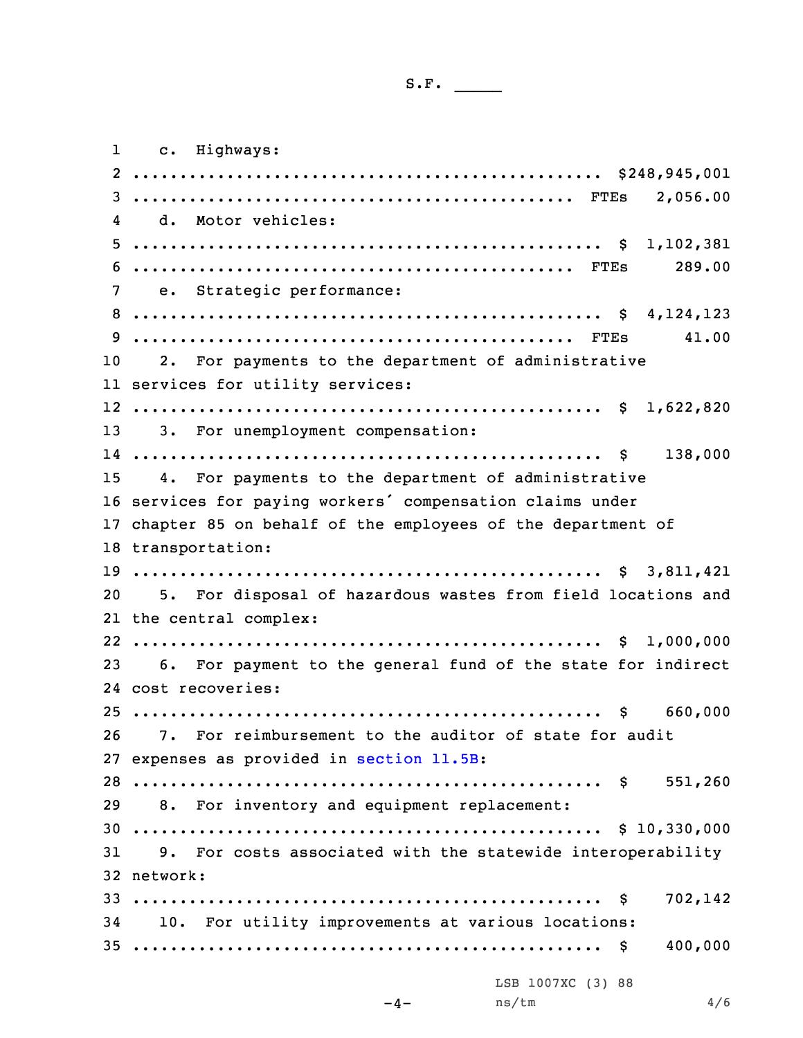| ິ. | - |  |  |  |  |
|----|---|--|--|--|--|
|    |   |  |  |  |  |

|                | 1 c. Highways:                                                     |         |
|----------------|--------------------------------------------------------------------|---------|
|                |                                                                    |         |
|                |                                                                    |         |
| 4              | d. Motor vehicles:                                                 |         |
| 5 <sub>1</sub> |                                                                    |         |
|                |                                                                    | 289.00  |
|                | 7 e. Strategic performance:                                        |         |
|                |                                                                    |         |
|                |                                                                    | 41.00   |
| 10             | 2. For payments to the department of administrative                |         |
|                | 11 services for utility services:                                  |         |
|                |                                                                    |         |
|                | 13 3. For unemployment compensation:                               |         |
|                |                                                                    |         |
|                | 15 4. For payments to the department of administrative             |         |
|                | 16 services for paying workers' compensation claims under          |         |
|                | 17 chapter 85 on behalf of the employees of the department of      |         |
|                | 18 transportation:                                                 |         |
|                |                                                                    |         |
|                | 20 5. For disposal of hazardous wastes from field locations and    |         |
|                | 21 the central complex:                                            |         |
|                |                                                                    |         |
|                | 6. For payment to the general fund of the state for indirect<br>23 |         |
|                | 24 cost recoveries:                                                |         |
|                | $25$ \$ 660,000                                                    |         |
|                | 26 7. For reimbursement to the auditor of state for audit          |         |
|                | 27 expenses as provided in section 11.5B:                          |         |
|                |                                                                    |         |
|                | 29 8. For inventory and equipment replacement:                     |         |
|                |                                                                    |         |
|                | 31 9. For costs associated with the statewide interoperability     |         |
|                | 32 network:                                                        |         |
|                |                                                                    | 702,142 |
|                | 34 10. For utility improvements at various locations:              |         |
|                |                                                                    | 400,000 |
|                |                                                                    |         |
|                | LSB 1007XC (3) 88<br>ns/tm<br>$-4-$                                | 4/6     |
|                |                                                                    |         |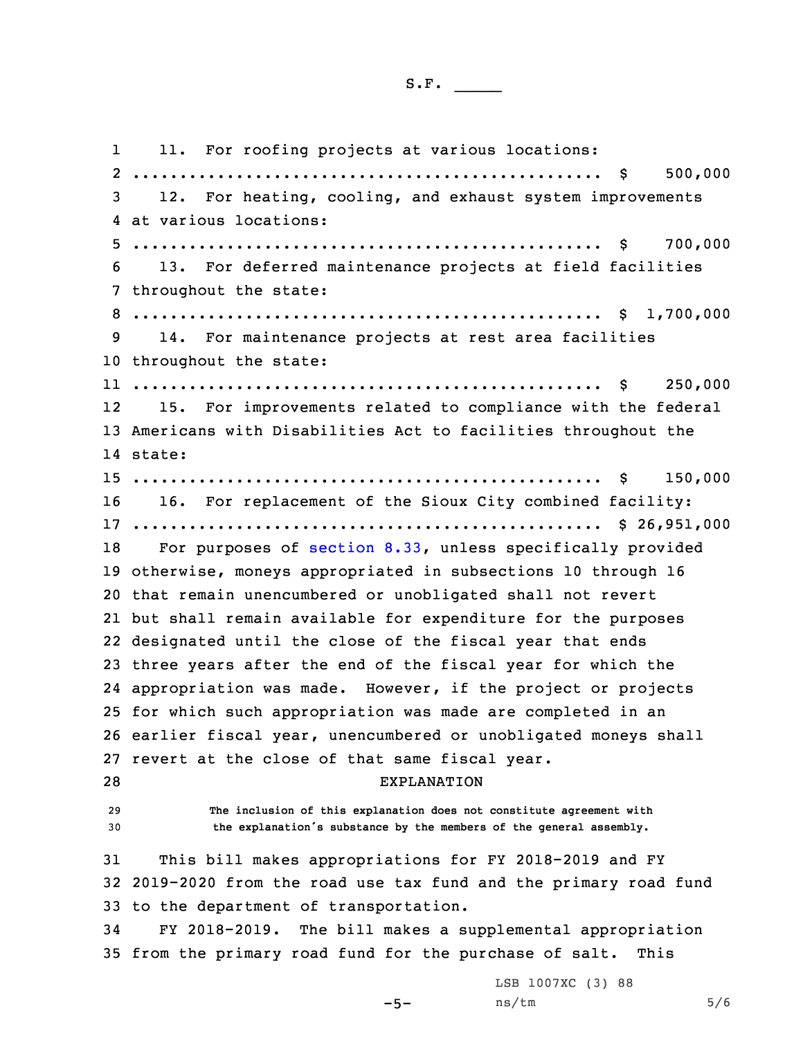S.F.  $\rule{1em}{0.15mm}$ 

1 11. For roofing projects at various locations: .................................................. \$ 500,000 12. For heating, cooling, and exhaust system improvements at various locations: .................................................. \$ 700,000 13. For deferred maintenance projects at field facilities throughout the state: .................................................. \$ 1,700,000 14. For maintenance projects at rest area facilities throughout the state: .................................................. \$ 250,000 12 15. For improvements related to compliance with the federal Americans with Disabilities Act to facilities throughout the 14 state: .................................................. \$ 150,000 16. For replacement of the Sioux City combined facility: .................................................. \$ 26,951,000 For purposes of [section](https://www.legis.iowa.gov/docs/code/2019/8.33.pdf) 8.33, unless specifically provided otherwise, moneys appropriated in subsections 10 through 16 that remain unencumbered or unobligated shall not revert but shall remain available for expenditure for the purposes designated until the close of the fiscal year that ends three years after the end of the fiscal year for which the appropriation was made. However, if the project or projects for which such appropriation was made are completed in an earlier fiscal year, unencumbered or unobligated moneys shall revert at the close of that same fiscal year. EXPLANATION **The inclusion of this explanation does not constitute agreement with the explanation's substance by the members of the general assembly.** This bill makes appropriations for FY 2018-2019 and FY 2019-2020 from the road use tax fund and the primary road fund to the department of transportation. FY 2018-2019. The bill makes <sup>a</sup> supplemental appropriation from the primary road fund for the purchase of salt. This  $-5-$ LSB 1007XC (3) 88 ns/tm 5/6